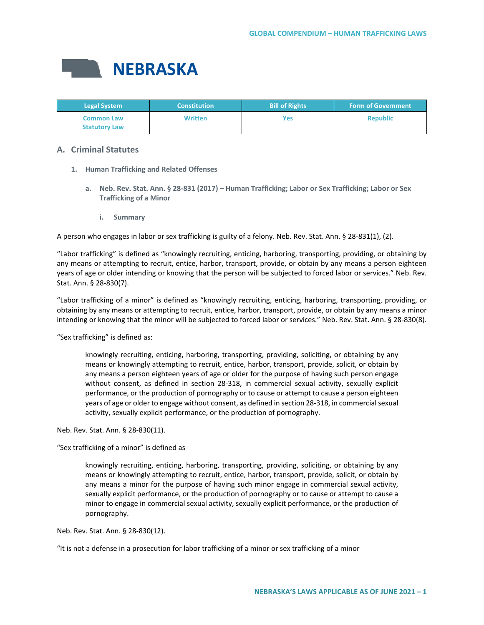

| <b>Legal System</b>                       | <b>Constitution</b> | <b>Bill of Rights</b> | <b>Form of Government</b> |
|-------------------------------------------|---------------------|-----------------------|---------------------------|
| <b>Common Law</b><br><b>Statutory Law</b> | <b>Written</b>      | Yes                   | <b>Republic</b>           |

# **A. Criminal Statutes**

- **1. Human Trafficking and Related Offenses**
	- **a. Neb. Rev. Stat. Ann. § 28-831 (2017) – Human Trafficking; Labor or Sex Trafficking; Labor or Sex Trafficking of a Minor**
		- **i. Summary**

A person who engages in labor or sex trafficking is guilty of a felony. Neb. Rev. Stat. Ann. § 28-831(1), (2).

"Labor trafficking" is defined as "knowingly recruiting, enticing, harboring, transporting, providing, or obtaining by any means or attempting to recruit, entice, harbor, transport, provide, or obtain by any means a person eighteen years of age or older intending or knowing that the person will be subjected to forced labor or services." Neb. Rev. Stat. Ann. § 28-830(7).

"Labor trafficking of a minor" is defined as "knowingly recruiting, enticing, harboring, transporting, providing, or obtaining by any means or attempting to recruit, entice, harbor, transport, provide, or obtain by any means a minor intending or knowing that the minor will be subjected to forced labor or services." Neb. Rev. Stat. Ann. § 28-830(8).

"Sex trafficking" is defined as:

knowingly recruiting, enticing, harboring, transporting, providing, soliciting, or obtaining by any means or knowingly attempting to recruit, entice, harbor, transport, provide, solicit, or obtain by any means a person eighteen years of age or older for the purpose of having such person engage without consent, as defined in section 28-318, in commercial sexual activity, sexually explicit performance, or the production of pornography or to cause or attempt to cause a person eighteen years of age or older to engage without consent, as defined in section 28-318, in commercial sexual activity, sexually explicit performance, or the production of pornography.

Neb. Rev. Stat. Ann. § 28-830(11).

"Sex trafficking of a minor" is defined as

knowingly recruiting, enticing, harboring, transporting, providing, soliciting, or obtaining by any means or knowingly attempting to recruit, entice, harbor, transport, provide, solicit, or obtain by any means a minor for the purpose of having such minor engage in commercial sexual activity, sexually explicit performance, or the production of pornography or to cause or attempt to cause a minor to engage in commercial sexual activity, sexually explicit performance, or the production of pornography.

Neb. Rev. Stat. Ann. § 28-830(12).

"It is not a defense in a prosecution for labor trafficking of a minor or sex trafficking of a minor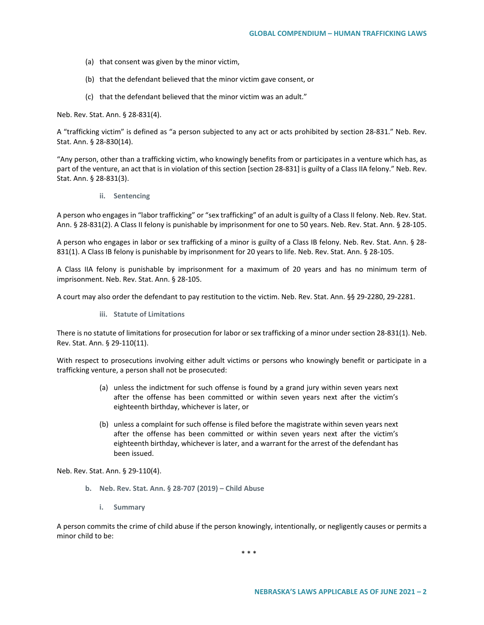- (a) that consent was given by the minor victim,
- (b) that the defendant believed that the minor victim gave consent, or
- (c) that the defendant believed that the minor victim was an adult."

Neb. Rev. Stat. Ann. § 28-831(4).

A "trafficking victim" is defined as "a person subjected to any act or acts prohibited by section 28-831." Neb. Rev. Stat. Ann. § 28-830(14).

"Any person, other than a trafficking victim, who knowingly benefits from or participates in a venture which has, as part of the venture, an act that is in violation of this section [section 28-831] is guilty of a Class IIA felony." Neb. Rev. Stat. Ann. § 28-831(3).

**ii. Sentencing** 

A person who engages in "labor trafficking" or "sex trafficking" of an adult is guilty of a Class II felony. Neb. Rev. Stat. Ann. § 28-831(2). A Class II felony is punishable by imprisonment for one to 50 years. Neb. Rev. Stat. Ann. § 28-105.

A person who engages in labor or sex trafficking of a minor is guilty of a Class IB felony. Neb. Rev. Stat. Ann. § 28- 831(1). A Class IB felony is punishable by imprisonment for 20 years to life. Neb. Rev. Stat. Ann. § 28-105.

A Class IIA felony is punishable by imprisonment for a maximum of 20 years and has no minimum term of imprisonment. Neb. Rev. Stat. Ann. § 28-105.

A court may also order the defendant to pay restitution to the victim. Neb. Rev. Stat. Ann. §§ 29-2280, 29-2281.

**iii. Statute of Limitations**

There is no statute of limitations for prosecution for labor or sex trafficking of a minor under section 28-831(1). Neb. Rev. Stat. Ann. § 29-110(11).

With respect to prosecutions involving either adult victims or persons who knowingly benefit or participate in a trafficking venture, a person shall not be prosecuted:

- (a) unless the indictment for such offense is found by a grand jury within seven years next after the offense has been committed or within seven years next after the victim's eighteenth birthday, whichever is later, or
- (b) unless a complaint for such offense is filed before the magistrate within seven years next after the offense has been committed or within seven years next after the victim's eighteenth birthday, whichever is later, and a warrant for the arrest of the defendant has been issued.

Neb. Rev. Stat. Ann. § 29-110(4).

- **b. Neb. Rev. Stat. Ann. § 28-707 (2019) – Child Abuse**
	- **i. Summary**

A person commits the crime of child abuse if the person knowingly, intentionally, or negligently causes or permits a minor child to be:

\* \* \*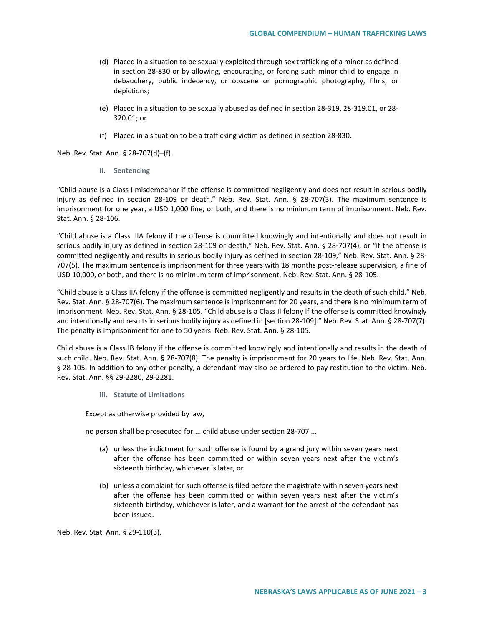- (d) Placed in a situation to be sexually exploited through sex trafficking of a minor as defined in section 28-830 or by allowing, encouraging, or forcing such minor child to engage in debauchery, public indecency, or obscene or pornographic photography, films, or depictions;
- (e) Placed in a situation to be sexually abused as defined in section 28-319, 28-319.01, or 28- 320.01; or
- (f) Placed in a situation to be a trafficking victim as defined in section 28-830.

Neb. Rev. Stat. Ann. § 28-707(d)–(f).

**ii. Sentencing**

"Child abuse is a Class I misdemeanor if the offense is committed negligently and does not result in serious bodily injury as defined in section 28-109 or death." Neb. Rev. Stat. Ann. § 28-707(3). The maximum sentence is imprisonment for one year, a USD 1,000 fine, or both, and there is no minimum term of imprisonment. Neb. Rev. Stat. Ann. § 28-106.

"Child abuse is a Class IIIA felony if the offense is committed knowingly and intentionally and does not result in serious bodily injury as defined in section 28-109 or death," Neb. Rev. Stat. Ann. § 28-707(4), or "if the offense is committed negligently and results in serious bodily injury as defined in section 28-109," Neb. Rev. Stat. Ann. § 28- 707(5). The maximum sentence is imprisonment for three years with 18 months post-release supervision, a fine of USD 10,000, or both, and there is no minimum term of imprisonment. Neb. Rev. Stat. Ann. § 28-105.

"Child abuse is a Class IIA felony if the offense is committed negligently and results in the death of such child." Neb. Rev. Stat. Ann. § 28-707(6). The maximum sentence is imprisonment for 20 years, and there is no minimum term of imprisonment. Neb. Rev. Stat. Ann. § 28-105. "Child abuse is a Class II felony if the offense is committed knowingly and intentionally and results in serious bodily injury as defined in [section 28-109]." Neb. Rev. Stat. Ann. § 28-707(7). The penalty is imprisonment for one to 50 years. Neb. Rev. Stat. Ann. § 28-105.

Child abuse is a Class IB felony if the offense is committed knowingly and intentionally and results in the death of such child. Neb. Rev. Stat. Ann. § 28-707(8). The penalty is imprisonment for 20 years to life. Neb. Rev. Stat. Ann. § 28-105. In addition to any other penalty, a defendant may also be ordered to pay restitution to the victim. Neb. Rev. Stat. Ann. §§ 29-2280, 29-2281.

**iii. Statute of Limitations** 

Except as otherwise provided by law,

no person shall be prosecuted for ... child abuse under section 28-707 ...

- (a) unless the indictment for such offense is found by a grand jury within seven years next after the offense has been committed or within seven years next after the victim's sixteenth birthday, whichever is later, or
- (b) unless a complaint for such offense is filed before the magistrate within seven years next after the offense has been committed or within seven years next after the victim's sixteenth birthday, whichever is later, and a warrant for the arrest of the defendant has been issued.

Neb. Rev. Stat. Ann. § 29-110(3).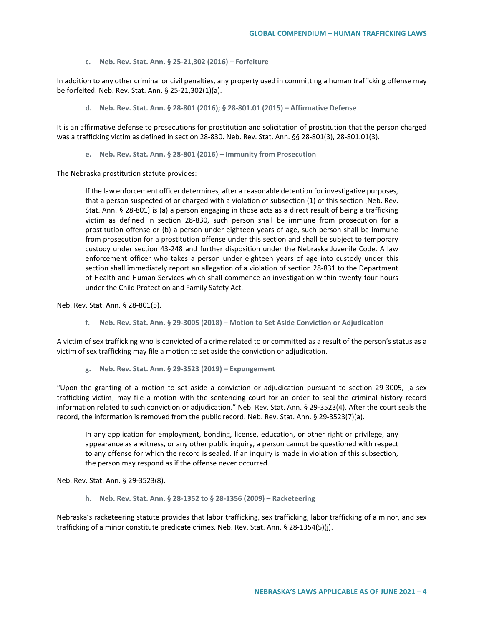**c. Neb. Rev. Stat. Ann. § 25-21,302 (2016) – Forfeiture**

In addition to any other criminal or civil penalties, any property used in committing a human trafficking offense may be forfeited. Neb. Rev. Stat. Ann. § 25-21,302(1)(a).

**d. Neb. Rev. Stat. Ann. § 28-801 (2016); § 28-801.01 (2015) – Affirmative Defense**

It is an affirmative defense to prosecutions for prostitution and solicitation of prostitution that the person charged was a trafficking victim as defined in section 28-830. Neb. Rev. Stat. Ann. §§ 28-801(3), 28-801.01(3).

**e. Neb. Rev. Stat. Ann. § 28-801 (2016) – Immunity from Prosecution**

The Nebraska prostitution statute provides:

If the law enforcement officer determines, after a reasonable detention for investigative purposes, that a person suspected of or charged with a violation of subsection (1) of this section [Neb. Rev. Stat. Ann. § 28-801] is (a) a person engaging in those acts as a direct result of being a trafficking victim as defined in section 28-830, such person shall be immune from prosecution for a prostitution offense or (b) a person under eighteen years of age, such person shall be immune from prosecution for a prostitution offense under this section and shall be subject to temporary custody under section 43-248 and further disposition under the Nebraska Juvenile Code. A law enforcement officer who takes a person under eighteen years of age into custody under this section shall immediately report an allegation of a violation of section 28-831 to the Department of Health and Human Services which shall commence an investigation within twenty-four hours under the Child Protection and Family Safety Act.

Neb. Rev. Stat. Ann. § 28-801(5).

**f. Neb. Rev. Stat. Ann. § 29-3005 (2018) – Motion to Set Aside Conviction or Adjudication**

A victim of sex trafficking who is convicted of a crime related to or committed as a result of the person's status as a victim of sex trafficking may file a motion to set aside the conviction or adjudication.

**g. Neb. Rev. Stat. Ann. § 29-3523 (2019) – Expungement**

"Upon the granting of a motion to set aside a conviction or adjudication pursuant to section 29-3005, [a sex trafficking victim] may file a motion with the sentencing court for an order to seal the criminal history record information related to such conviction or adjudication." Neb. Rev. Stat. Ann. § 29-3523(4). After the court seals the record, the information is removed from the public record. Neb. Rev. Stat. Ann. § 29-3523(7)(a).

In any application for employment, bonding, license, education, or other right or privilege, any appearance as a witness, or any other public inquiry, a person cannot be questioned with respect to any offense for which the record is sealed. If an inquiry is made in violation of this subsection, the person may respond as if the offense never occurred.

Neb. Rev. Stat. Ann. § 29-3523(8).

**h. Neb. Rev. Stat. Ann. § 28-1352 to § 28-1356 (2009) – Racketeering** 

Nebraska's racketeering statute provides that labor trafficking, sex trafficking, labor trafficking of a minor, and sex trafficking of a minor constitute predicate crimes. Neb. Rev. Stat. Ann. § 28-1354(5)(j).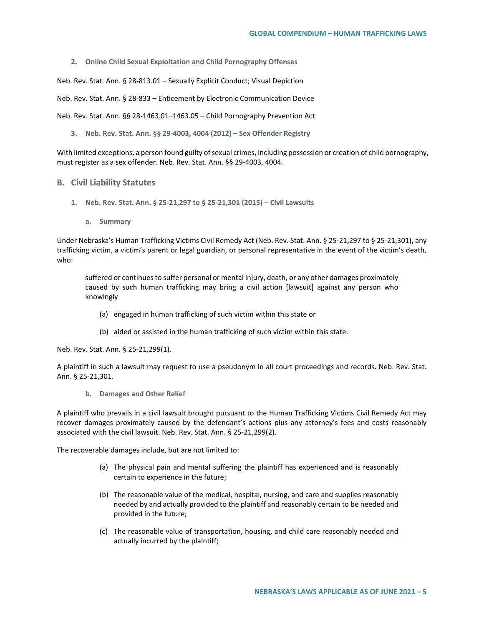**2. Online Child Sexual Exploitation and Child Pornography Offenses**

Neb. Rev. Stat. Ann. § 28-813.01 – Sexually Explicit Conduct; Visual Depiction

Neb. Rev. Stat. Ann. § 28-833 – Enticement by Electronic Communication Device

Neb. Rev. Stat. Ann. §§ 28-1463.01–1463.05 – Child Pornography Prevention Act

**3. Neb. Rev. Stat. Ann. §§ 29-4003, 4004 (2012) – Sex Offender Registry**

With limited exceptions, a person found guilty of sexual crimes, including possession or creation of child pornography, must register as a sex offender. Neb. Rev. Stat. Ann. §§ 29-4003, 4004.

### **B. Civil Liability Statutes**

- **1. Neb. Rev. Stat. Ann. § 25-21,297 to § 25-21,301 (2015) – Civil Lawsuits** 
	- **a. Summary**

Under Nebraska's Human Trafficking Victims Civil Remedy Act (Neb. Rev. Stat. Ann. § 25-21,297 to § 25-21,301), any trafficking victim, a victim's parent or legal guardian, or personal representative in the event of the victim's death, who:

suffered or continues to suffer personal or mental injury, death, or any other damages proximately caused by such human trafficking may bring a civil action [lawsuit] against any person who knowingly

- (a) engaged in human trafficking of such victim within this state or
- (b) aided or assisted in the human trafficking of such victim within this state.

Neb. Rev. Stat. Ann. § 25-21,299(1).

A plaintiff in such a lawsuit may request to use a pseudonym in all court proceedings and records. Neb. Rev. Stat. Ann. § 25-21,301.

**b. Damages and Other Relief**

A plaintiff who prevails in a civil lawsuit brought pursuant to the Human Trafficking Victims Civil Remedy Act may recover damages proximately caused by the defendant's actions plus any attorney's fees and costs reasonably associated with the civil lawsuit. Neb. Rev. Stat. Ann. § 25-21,299(2).

The recoverable damages include, but are not limited to:

- (a) The physical pain and mental suffering the plaintiff has experienced and is reasonably certain to experience in the future;
- (b) The reasonable value of the medical, hospital, nursing, and care and supplies reasonably needed by and actually provided to the plaintiff and reasonably certain to be needed and provided in the future;
- (c) The reasonable value of transportation, housing, and child care reasonably needed and actually incurred by the plaintiff;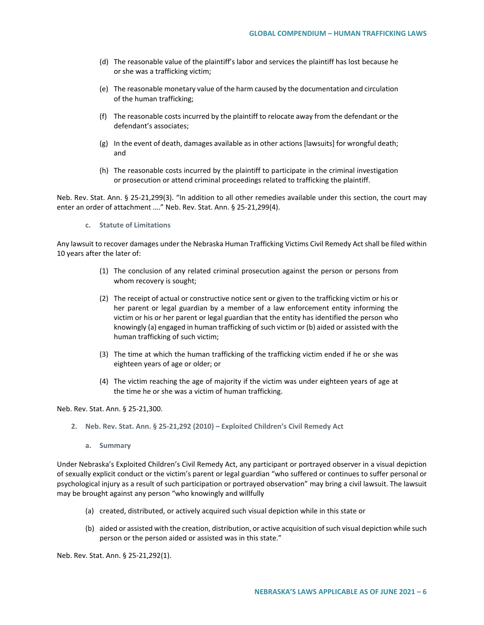- (d) The reasonable value of the plaintiff's labor and services the plaintiff has lost because he or she was a trafficking victim;
- (e) The reasonable monetary value of the harm caused by the documentation and circulation of the human trafficking;
- (f) The reasonable costs incurred by the plaintiff to relocate away from the defendant or the defendant's associates;
- (g) In the event of death, damages available as in other actions [lawsuits] for wrongful death; and
- (h) The reasonable costs incurred by the plaintiff to participate in the criminal investigation or prosecution or attend criminal proceedings related to trafficking the plaintiff.

Neb. Rev. Stat. Ann. § 25-21,299(3). "In addition to all other remedies available under this section, the court may enter an order of attachment …." Neb. Rev. Stat. Ann. § 25-21,299(4).

**c. Statute of Limitations**

Any lawsuit to recover damages under the Nebraska Human Trafficking Victims Civil Remedy Act shall be filed within 10 years after the later of:

- (1) The conclusion of any related criminal prosecution against the person or persons from whom recovery is sought;
- (2) The receipt of actual or constructive notice sent or given to the trafficking victim or his or her parent or legal guardian by a member of a law enforcement entity informing the victim or his or her parent or legal guardian that the entity has identified the person who knowingly (a) engaged in human trafficking of such victim or (b) aided or assisted with the human trafficking of such victim;
- (3) The time at which the human trafficking of the trafficking victim ended if he or she was eighteen years of age or older; or
- (4) The victim reaching the age of majority if the victim was under eighteen years of age at the time he or she was a victim of human trafficking.

Neb. Rev. Stat. Ann. § 25-21,300.

- **2. Neb. Rev. Stat. Ann. § 25-21,292 (2010) – Exploited Children's Civil Remedy Act**
	- **a. Summary**

Under Nebraska's Exploited Children's Civil Remedy Act, any participant or portrayed observer in a visual depiction of sexually explicit conduct or the victim's parent or legal guardian "who suffered or continues to suffer personal or psychological injury as a result of such participation or portrayed observation" may bring a civil lawsuit. The lawsuit may be brought against any person "who knowingly and willfully

- (a) created, distributed, or actively acquired such visual depiction while in this state or
- (b) aided or assisted with the creation, distribution, or active acquisition of such visual depiction while such person or the person aided or assisted was in this state."

Neb. Rev. Stat. Ann. § 25-21,292(1).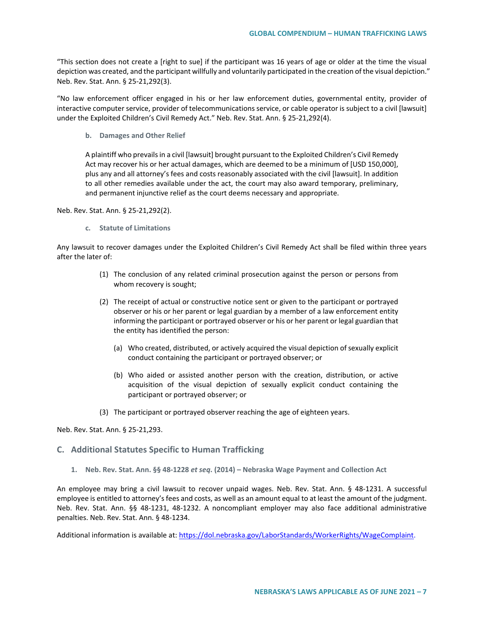"This section does not create a [right to sue] if the participant was 16 years of age or older at the time the visual depiction was created, and the participant willfully and voluntarily participated in the creation of the visual depiction." Neb. Rev. Stat. Ann. § 25-21,292(3).

"No law enforcement officer engaged in his or her law enforcement duties, governmental entity, provider of interactive computer service, provider of telecommunications service, or cable operator is subject to a civil [lawsuit] under the Exploited Children's Civil Remedy Act." Neb. Rev. Stat. Ann. § 25-21,292(4).

**b. Damages and Other Relief**

A plaintiff who prevails in a civil [lawsuit] brought pursuant to the Exploited Children's Civil Remedy Act may recover his or her actual damages, which are deemed to be a minimum of [USD 150,000], plus any and all attorney's fees and costs reasonably associated with the civil [lawsuit]. In addition to all other remedies available under the act, the court may also award temporary, preliminary, and permanent injunctive relief as the court deems necessary and appropriate.

Neb. Rev. Stat. Ann. § 25-21,292(2).

**c. Statute of Limitations**

Any lawsuit to recover damages under the Exploited Children's Civil Remedy Act shall be filed within three years after the later of:

- (1) The conclusion of any related criminal prosecution against the person or persons from whom recovery is sought;
- (2) The receipt of actual or constructive notice sent or given to the participant or portrayed observer or his or her parent or legal guardian by a member of a law enforcement entity informing the participant or portrayed observer or his or her parent or legal guardian that the entity has identified the person:
	- (a) Who created, distributed, or actively acquired the visual depiction of sexually explicit conduct containing the participant or portrayed observer; or
	- (b) Who aided or assisted another person with the creation, distribution, or active acquisition of the visual depiction of sexually explicit conduct containing the participant or portrayed observer; or
- (3) The participant or portrayed observer reaching the age of eighteen years.

Neb. Rev. Stat. Ann. § 25-21,293.

## **C. Additional Statutes Specific to Human Trafficking**

**1. Neb. Rev. Stat. Ann. §§ 48-1228** *et seq***. (2014) – Nebraska Wage Payment and Collection Act**

An employee may bring a civil lawsuit to recover unpaid wages. Neb. Rev. Stat. Ann. § 48-1231. A successful employee is entitled to attorney's fees and costs, as well as an amount equal to at least the amount of the judgment. Neb. Rev. Stat. Ann. §§ 48-1231, 48-1232. A noncompliant employer may also face additional administrative penalties. Neb. Rev. Stat. Ann. § 48-1234.

Additional information is available at[: https://dol.nebraska.gov/LaborStandards/WorkerRights/WageComplaint.](https://dol.nebraska.gov/LaborStandards/WorkerRights/WageComplaint)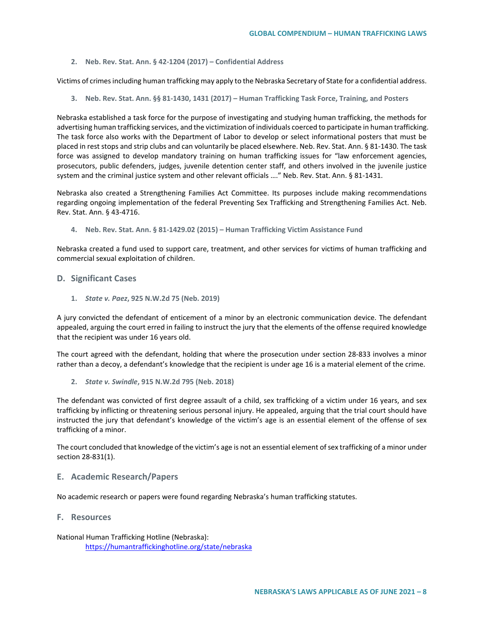**2. Neb. Rev. Stat. Ann. § 42-1204 (2017) – Confidential Address**

Victims of crimes including human trafficking may apply to the Nebraska Secretary of State for a confidential address.

**3. Neb. Rev. Stat. Ann. §§ 81-1430, 1431 (2017) – Human Trafficking Task Force, Training, and Posters**

Nebraska established a task force for the purpose of investigating and studying human trafficking, the methods for advertising human trafficking services, and the victimization of individuals coerced to participate in human trafficking. The task force also works with the Department of Labor to develop or select informational posters that must be placed in rest stops and strip clubs and can voluntarily be placed elsewhere. Neb. Rev. Stat. Ann. § 81-1430. The task force was assigned to develop mandatory training on human trafficking issues for "law enforcement agencies, prosecutors, public defenders, judges, juvenile detention center staff, and others involved in the juvenile justice system and the criminal justice system and other relevant officials …." Neb. Rev. Stat. Ann. § 81-1431.

Nebraska also created a Strengthening Families Act Committee. Its purposes include making recommendations regarding ongoing implementation of the federal Preventing Sex Trafficking and Strengthening Families Act. Neb. Rev. Stat. Ann. § 43-4716.

**4. Neb. Rev. Stat. Ann. § 81-1429.02 (2015) – Human Trafficking Victim Assistance Fund**

Nebraska created a fund used to support care, treatment, and other services for victims of human trafficking and commercial sexual exploitation of children.

## **D. Significant Cases**

**1.** *State v. Paez***, 925 N.W.2d 75 (Neb. 2019)**

A jury convicted the defendant of enticement of a minor by an electronic communication device. The defendant appealed, arguing the court erred in failing to instruct the jury that the elements of the offense required knowledge that the recipient was under 16 years old.

The court agreed with the defendant, holding that where the prosecution under section 28-833 involves a minor rather than a decoy, a defendant's knowledge that the recipient is under age 16 is a material element of the crime.

**2.** *State v. Swindle***, 915 N.W.2d 795 (Neb. 2018)** 

The defendant was convicted of first degree assault of a child, sex trafficking of a victim under 16 years, and sex trafficking by inflicting or threatening serious personal injury. He appealed, arguing that the trial court should have instructed the jury that defendant's knowledge of the victim's age is an essential element of the offense of sex trafficking of a minor.

The court concluded that knowledge of the victim's age is not an essential element of sex trafficking of a minor under section 28-831(1).

## **E. Academic Research/Papers**

No academic research or papers were found regarding Nebraska's human trafficking statutes.

## **F. Resources**

National Human Trafficking Hotline (Nebraska): <https://humantraffickinghotline.org/state/nebraska>